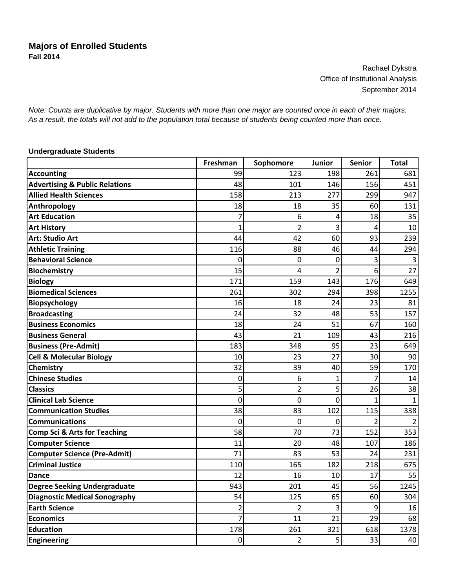Rachael Dykstra Office of Institutional Analysis September 2014

*Note: Counts are duplicative by major. Students with more than one major are counted once in each of their majors. As a result, the totals will not add to the population total because of students being counted more than once.*

## **Undergraduate Students**

|                                           | Freshman       | Sophomore      | Junior                  | Senior         | <b>Total</b> |
|-------------------------------------------|----------------|----------------|-------------------------|----------------|--------------|
| <b>Accounting</b>                         | 99             | 123            | 198                     | 261            | 681          |
| <b>Advertising &amp; Public Relations</b> | 48             | 101            | 146                     | 156            | 451          |
| <b>Allied Health Sciences</b>             | 158            | 213            | 277                     | 299            | 947          |
| Anthropology                              | 18             | 18             | 35                      | 60             | 131          |
| <b>Art Education</b>                      | 7              | 6              | 4                       | 18             | 35           |
| <b>Art History</b>                        | 1              | $\overline{2}$ | 3                       | 4              | 10           |
| <b>Art: Studio Art</b>                    | 44             | 42             | 60                      | 93             | 239          |
| <b>Athletic Training</b>                  | 116            | 88             | 46                      | 44             | 294          |
| <b>Behavioral Science</b>                 | 0              | 0              | 0                       | 3              |              |
| <b>Biochemistry</b>                       | 15             | 4              | $\overline{2}$          | 6              | 27           |
| <b>Biology</b>                            | 171            | 159            | 143                     | 176            | 649          |
| <b>Biomedical Sciences</b>                | 261            | 302            | 294                     | 398            | 1255         |
| Biopsychology                             | 16             | 18             | 24                      | 23             | 81           |
| <b>Broadcasting</b>                       | 24             | 32             | 48                      | 53             | 157          |
| <b>Business Economics</b>                 | 18             | 24             | 51                      | 67             | 160          |
| <b>Business General</b>                   | 43             | 21             | 109                     | 43             | 216          |
| <b>Business (Pre-Admit)</b>               | 183            | 348            | 95                      | 23             | 649          |
| <b>Cell &amp; Molecular Biology</b>       | 10             | 23             | 27                      | 30             | 90           |
| Chemistry                                 | 32             | 39             | 40                      | 59             | 170          |
| <b>Chinese Studies</b>                    | 0              | 6              | $\mathbf{1}$            | $\overline{7}$ | 14           |
| <b>Classics</b>                           | 5              | 2              | 5                       | 26             | 38           |
| <b>Clinical Lab Science</b>               | 0              | 0              | $\mathbf 0$             | 1              |              |
| <b>Communication Studies</b>              | 38             | 83             | 102                     | 115            | 338          |
| <b>Communications</b>                     | 0              | $\mathbf{0}$   | 0                       | 2              |              |
| <b>Comp Sci &amp; Arts for Teaching</b>   | 58             | 70             | 73                      | 152            | 353          |
| <b>Computer Science</b>                   | 11             | 20             | 48                      | 107            | 186          |
| <b>Computer Science (Pre-Admit)</b>       | 71             | 83             | 53                      | 24             | 231          |
| <b>Criminal Justice</b>                   | 110            | 165            | 182                     | 218            | 675          |
| <b>Dance</b>                              | 12             | 16             | 10                      | 17             | 55           |
| <b>Degree Seeking Undergraduate</b>       | 943            | 201            | 45                      | 56             | 1245         |
| <b>Diagnostic Medical Sonography</b>      | 54             | 125            | 65                      | 60             | 304          |
| <b>Earth Science</b>                      | $\overline{2}$ | $\overline{2}$ | 3                       | 9              | 16           |
| <b>Economics</b>                          | 7              | 11             | 21                      | 29             | 68           |
| <b>Education</b>                          | 178            | 261            | 321                     | 618            | 1378         |
| <b>Engineering</b>                        | $\pmb{0}$      | $\mathbf{2}$   | $\overline{\mathbf{5}}$ | 33             | 40           |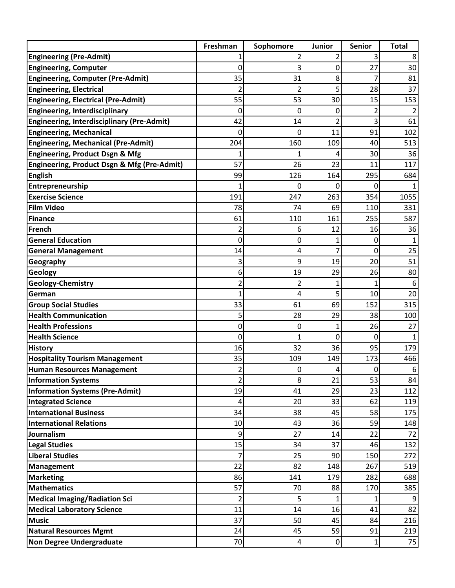|                                                   | Freshman       | Sophomore | Junior       | <b>Senior</b>  | <b>Total</b> |
|---------------------------------------------------|----------------|-----------|--------------|----------------|--------------|
| <b>Engineering (Pre-Admit)</b>                    |                |           | 2            | 3              | 8            |
| <b>Engineering, Computer</b>                      | 0              | 3         | 0            | 27             | 30           |
| <b>Engineering, Computer (Pre-Admit)</b>          | 35             | 31        | 8            | 7              | 81           |
| <b>Engineering, Electrical</b>                    | 2              |           | 5            | 28             | 37           |
| <b>Engineering, Electrical (Pre-Admit)</b>        | 55             | 53        | 30           | 15             | 153          |
| <b>Engineering, Interdisciplinary</b>             | 0              | 0         | 0            | $\overline{2}$ |              |
| <b>Engineering, Interdisciplinary (Pre-Admit)</b> | 42             | 14        | 2            | 3              | 61           |
| <b>Engineering, Mechanical</b>                    | 0              | 0         | 11           | 91             | 102          |
| <b>Engineering, Mechanical (Pre-Admit)</b>        | 204            | 160       | 109          | 40             | 513          |
| <b>Engineering, Product Dsgn &amp; Mfg</b>        |                |           | 4            | 30             | 36           |
| Engineering, Product Dsgn & Mfg (Pre-Admit)       | 57             | 26        | 23           | 11             | 117          |
| <b>English</b>                                    | 99             | 126       | 164          | 295            | 684          |
| Entrepreneurship                                  | 1              | 0         | 0            | 0              |              |
| <b>Exercise Science</b>                           | 191            | 247       | 263          | 354            | 1055         |
| <b>Film Video</b>                                 | 78             | 74        | 69           | 110            | 331          |
| Finance                                           | 61             | 110       | 161          | 255            | 587          |
| French                                            | 2              | 6         | 12           | 16             | 36           |
| <b>General Education</b>                          | 0              | 0         | $\mathbf{1}$ | 0              |              |
| <b>General Management</b>                         | 14             | 4         |              | 0              | 25           |
| Geography                                         | 3              | 9         | 19           | 20             | 51           |
| Geology                                           | 6              | 19        | 29           | 26             | 80           |
| Geology-Chemistry                                 | $\overline{c}$ | 2         | 1            | 1              | 6            |
| German                                            | 1              | 4         | 5            | 10             | 20           |
| <b>Group Social Studies</b>                       | 33             | 61        | 69           | 152            | 315          |
| <b>Health Communication</b>                       | 5              | 28        | 29           | 38             | 100          |
| <b>Health Professions</b>                         | 0              | 0         | 1            | 26             | 27           |
| <b>Health Science</b>                             | 0              |           | 0            | 0              |              |
| <b>History</b>                                    | 16             | 32        | 36           | 95             | 179          |
| <b>Hospitality Tourism Management</b>             | 35             | 109       | 149          | 173            | 466          |
| <b>Human Resources Management</b>                 | $\overline{2}$ | 0         | 4            | 0              | 6            |
| <b>Information Systems</b>                        | $\overline{2}$ | $\bf 8$   | 21           | 53             | 84           |
| Information Systems (Pre-Admit)                   | 19             | 41        | 29           | 23             | 112          |
| <b>Integrated Science</b>                         | 4              | 20        | 33           | 62             | 119          |
| <b>International Business</b>                     | 34             | 38        | 45           | 58             | 175          |
| <b>International Relations</b>                    | 10             | 43        | 36           | 59             | 148          |
| Journalism                                        | 9              | 27        | 14           | 22             | 72           |
| <b>Legal Studies</b>                              | 15             | 34        | 37           | 46             | 132          |
| <b>Liberal Studies</b>                            | 7              | 25        | 90           | 150            | 272          |
| Management                                        | 22             | 82        | 148          | 267            | 519          |
| <b>Marketing</b>                                  | 86             | 141       | 179          | 282            | 688          |
| <b>Mathematics</b>                                | 57             | 70        | 88           | 170            | 385          |
| <b>Medical Imaging/Radiation Sci</b>              | $\overline{2}$ | 5         | $\mathbf{1}$ | 1              |              |
| <b>Medical Laboratory Science</b>                 | 11             | 14        | 16           | 41             | 82           |
| <b>Music</b>                                      | 37             | 50        | 45           | 84             | 216          |
| <b>Natural Resources Mgmt</b>                     | 24             | 45        | 59           | 91             | 219          |
| Non Degree Undergraduate                          | 70             | 4         | $\pmb{0}$    | $\mathbf{1}$   | 75           |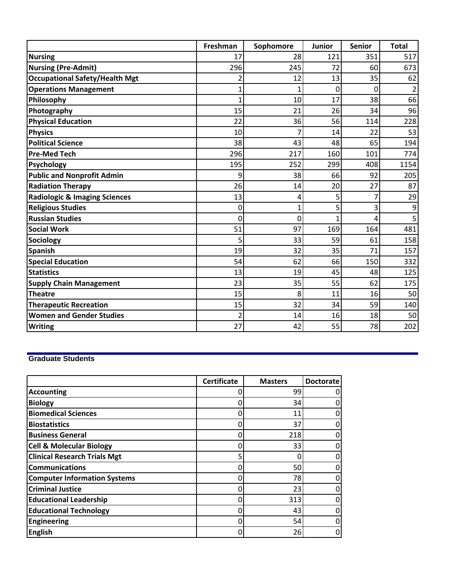|                                          | Freshman | Sophomore | <b>Junior</b> | <b>Senior</b> | <b>Total</b> |
|------------------------------------------|----------|-----------|---------------|---------------|--------------|
| <b>Nursing</b>                           | 17       | 28        | 121           | 351           | 517          |
| <b>Nursing (Pre-Admit)</b>               | 296      | 245       | 72            | 60            | 673          |
| <b>Occupational Safety/Health Mgt</b>    |          | 12        | 13            | 35            | 62           |
| <b>Operations Management</b>             | 1        |           | 0             | 0             | 2            |
| Philosophy                               | 1        | 10        | 17            | 38            | 66           |
| Photography                              | 15       | 21        | 26            | 34            | 96           |
| <b>Physical Education</b>                | 22       | 36        | 56            | 114           | 228          |
| <b>Physics</b>                           | 10       |           | 14            | 22            | 53           |
| <b>Political Science</b>                 | 38       | 43        | 48            | 65            | 194          |
| <b>Pre-Med Tech</b>                      | 296      | 217       | 160           | 101           | 774          |
| <b>Psychology</b>                        | 195      | 252       | 299           | 408           | 1154         |
| <b>Public and Nonprofit Admin</b>        | 9        | 38        | 66            | 92            | 205          |
| <b>Radiation Therapy</b>                 | 26       | 14        | 20            | 27            | 87           |
| <b>Radiologic &amp; Imaging Sciences</b> | 13       | 4         | 5             |               | 29           |
| <b>Religious Studies</b>                 | 0        | 1         | 5             | 3             | 9            |
| <b>Russian Studies</b>                   | 0        | 0         |               | 4             | 5            |
| <b>Social Work</b>                       | 51       | 97        | 169           | 164           | 481          |
| Sociology                                | 5        | 33        | 59            | 61            | 158          |
| Spanish                                  | 19       | 32        | 35            | 71            | 157          |
| <b>Special Education</b>                 | 54       | 62        | 66            | 150           | 332          |
| <b>Statistics</b>                        | 13       | 19        | 45            | 48            | 125          |
| <b>Supply Chain Management</b>           | 23       | 35        | 55            | 62            | 175          |
| <b>Theatre</b>                           | 15       | 8         | 11            | 16            | 50           |
| <b>Therapeutic Recreation</b>            | 15       | 32        | 34            | 59            | 140          |
| <b>Women and Gender Studies</b>          | 2        | 14        | 16            | 18            | 50           |
| <b>Writing</b>                           | 27       | 42        | 55            | 78            | 202          |

## **Graduate Students**

|                                     | <b>Certificate</b> | <b>Masters</b> | <b>Doctorate</b> |
|-------------------------------------|--------------------|----------------|------------------|
| <b>Accounting</b>                   |                    | 99             |                  |
| <b>Biology</b>                      | Ω                  | 34             |                  |
| <b>Biomedical Sciences</b>          | 0                  | 11             |                  |
| <b>Biostatistics</b>                | 0                  | 37             |                  |
| <b>Business General</b>             | 0                  | 218            |                  |
| <b>Cell &amp; Molecular Biology</b> | 0                  | 33             |                  |
| <b>Clinical Research Trials Mgt</b> | 5                  |                |                  |
| <b>Communications</b>               | 0                  | 50             |                  |
| <b>Computer Information Systems</b> | 0                  | 78             |                  |
| <b>Criminal Justice</b>             | 0                  | 23             |                  |
| <b>Educational Leadership</b>       | 0                  | 313            |                  |
| <b>Educational Technology</b>       | 0                  | 43             |                  |
| <b>Engineering</b>                  | 0                  | 54             |                  |
| <b>English</b>                      | 0                  | 26             |                  |